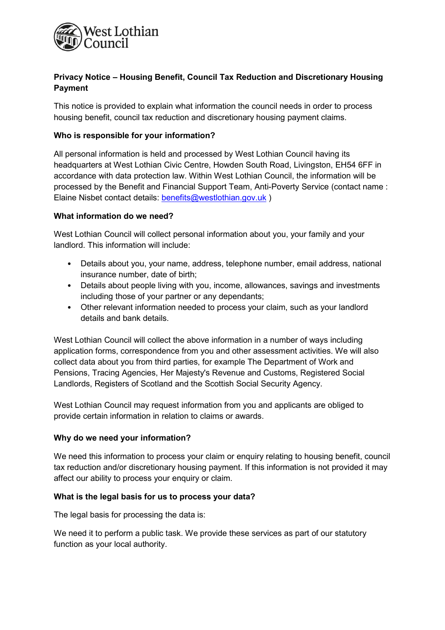

# Privacy Notice – Housing Benefit, Council Tax Reduction and Discretionary Housing Payment

This notice is provided to explain what information the council needs in order to process housing benefit, council tax reduction and discretionary housing payment claims.

## Who is responsible for your information?

All personal information is held and processed by West Lothian Council having its headquarters at West Lothian Civic Centre, Howden South Road, Livingston, EH54 6FF in accordance with data protection law. Within West Lothian Council, the information will be processed by the Benefit and Financial Support Team, Anti-Poverty Service (contact name : Elaine Nisbet contact details: benefits@westlothian.gov.uk )

## What information do we need?

West Lothian Council will collect personal information about you, your family and your landlord. This information will include:

- Details about you, your name, address, telephone number, email address, national insurance number, date of birth;
- Details about people living with you, income, allowances, savings and investments including those of your partner or any dependants;
- Other relevant information needed to process your claim, such as your landlord details and bank details.

West Lothian Council will collect the above information in a number of ways including application forms, correspondence from you and other assessment activities. We will also collect data about you from third parties, for example The Department of Work and Pensions, Tracing Agencies, Her Majesty's Revenue and Customs, Registered Social Landlords, Registers of Scotland and the Scottish Social Security Agency.

West Lothian Council may request information from you and applicants are obliged to provide certain information in relation to claims or awards.

#### Why do we need your information?

We need this information to process your claim or enquiry relating to housing benefit, council tax reduction and/or discretionary housing payment. If this information is not provided it may affect our ability to process your enquiry or claim.

#### What is the legal basis for us to process your data?

The legal basis for processing the data is:

We need it to perform a public task. We provide these services as part of our statutory function as your local authority.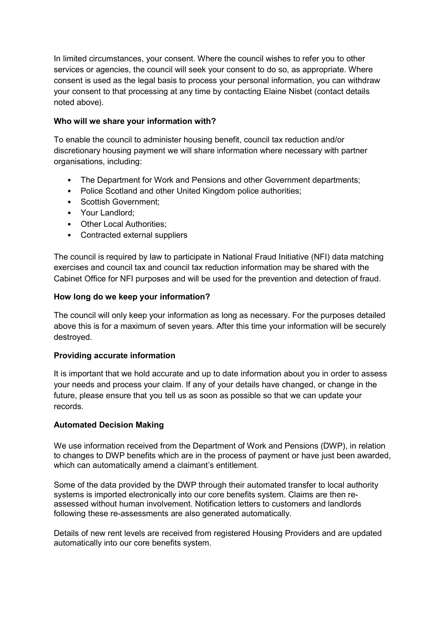In limited circumstances, your consent. Where the council wishes to refer you to other services or agencies, the council will seek your consent to do so, as appropriate. Where consent is used as the legal basis to process your personal information, you can withdraw your consent to that processing at any time by contacting Elaine Nisbet (contact details noted above).

## Who will we share your information with?

To enable the council to administer housing benefit, council tax reduction and/or discretionary housing payment we will share information where necessary with partner organisations, including:

- The Department for Work and Pensions and other Government departments;
- Police Scotland and other United Kingdom police authorities;
- Scottish Government;
- Your Landlord;
- Other Local Authorities;
- Contracted external suppliers

The council is required by law to participate in National Fraud Initiative (NFI) data matching exercises and council tax and council tax reduction information may be shared with the Cabinet Office for NFI purposes and will be used for the prevention and detection of fraud.

## How long do we keep your information?

The council will only keep your information as long as necessary. For the purposes detailed above this is for a maximum of seven years. After this time your information will be securely destroyed.

# Providing accurate information

It is important that we hold accurate and up to date information about you in order to assess your needs and process your claim. If any of your details have changed, or change in the future, please ensure that you tell us as soon as possible so that we can update your records.

# Automated Decision Making

We use information received from the Department of Work and Pensions (DWP), in relation to changes to DWP benefits which are in the process of payment or have just been awarded, which can automatically amend a claimant's entitlement.

Some of the data provided by the DWP through their automated transfer to local authority systems is imported electronically into our core benefits system. Claims are then reassessed without human involvement. Notification letters to customers and landlords following these re-assessments are also generated automatically.

Details of new rent levels are received from registered Housing Providers and are updated automatically into our core benefits system.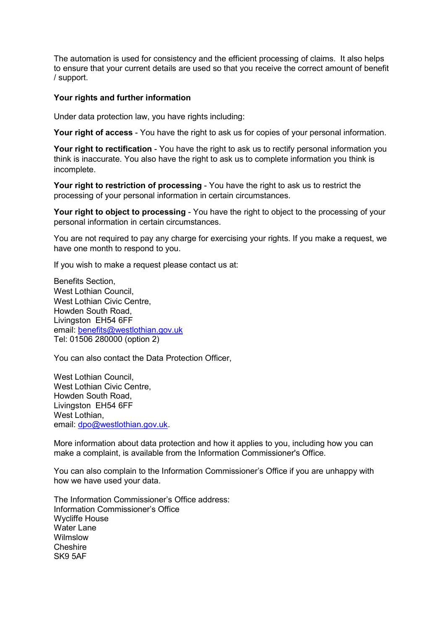The automation is used for consistency and the efficient processing of claims. It also helps to ensure that your current details are used so that you receive the correct amount of benefit / support.

#### Your rights and further information

Under data protection law, you have rights including:

Your right of access - You have the right to ask us for copies of your personal information.

Your right to rectification - You have the right to ask us to rectify personal information you think is inaccurate. You also have the right to ask us to complete information you think is incomplete.

Your right to restriction of processing - You have the right to ask us to restrict the processing of your personal information in certain circumstances.

Your right to object to processing - You have the right to object to the processing of your personal information in certain circumstances.

You are not required to pay any charge for exercising your rights. If you make a request, we have one month to respond to you.

If you wish to make a request please contact us at:

Benefits Section, West Lothian Council, West Lothian Civic Centre. Howden South Road, Livingston EH54 6FF email: benefits@westlothian.gov.uk Tel: 01506 280000 (option 2)

You can also contact the Data Protection Officer,

West Lothian Council, West Lothian Civic Centre. Howden South Road, Livingston EH54 6FF West Lothian, email: dpo@westlothian.gov.uk.

More information about data protection and how it applies to you, including how you can make a complaint, is available from the Information Commissioner's Office.

You can also complain to the Information Commissioner's Office if you are unhappy with how we have used your data.

The Information Commissioner's Office address: Information Commissioner's Office Wycliffe House Water Lane Wilmslow Cheshire SK9 5AF